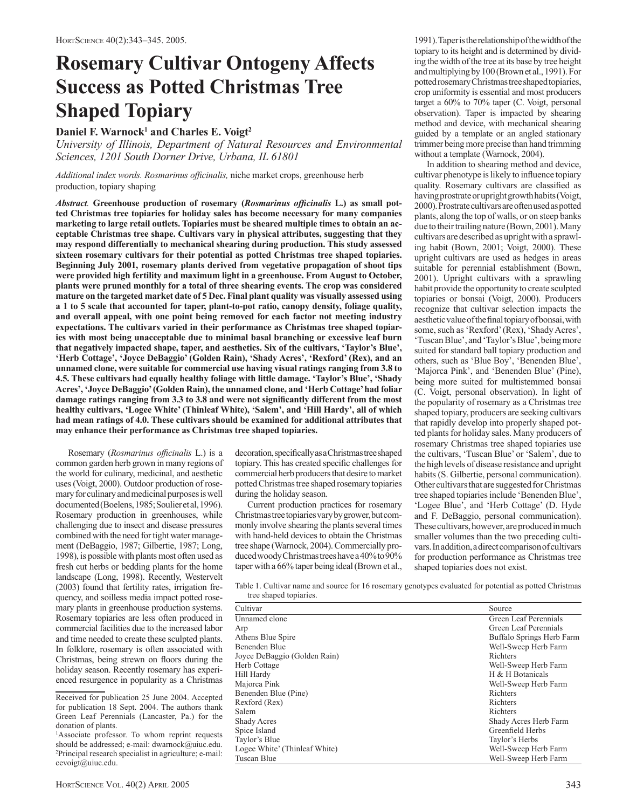# **Rosemary Cultivar Ontogeny Affects Success as Potted Christmas Tree Shaped Topiary**

# Daniel F. Warnock<sup>1</sup> and Charles E. Voigt<sup>2</sup>

*University of Illinois, Department of Natural Resources and Environmental Sciences, 1201 South Dorner Drive, Urbana, IL 61801*

Additional index words. Rosmarinus officinalis, niche market crops, greenhouse herb production, topiary shaping

*Abstract.* **Greenhouse production of rosemary (***Rosmarinus officinalis* **L.) as small potted Christmas tree topiaries for holiday sales has become necessary for many companies marketing to large retail outlets. Topiaries must be sheared multiple times to obtain an acceptable Christmas tree shape. Cultivars vary in physical attributes, suggesting that they may respond differentially to mechanical shearing during production. This study assessed sixteen rosemary cultivars for their potential as potted Christmas tree shaped topiaries. Beginning July 2001, rosemary plants derived from vegetative propagation of shoot tips were provided high fertility and maximum light in a greenhouse. From August to October, plants were pruned monthly for a total of three shearing events. The crop was considered mature on the targeted market date of 5 Dec. Final plant quality was visually assessed using a 1 to 5 scale that accounted for taper, plant-to-pot ratio, canopy density, foliage quality, and overall appeal, with one point being removed for each factor not meeting industry expectations. The cultivars varied in their performance as Christmas tree shaped topiaries with most being unacceptable due to minimal basal branching or excessive leaf burn that negatively impacted shape, taper, and aesthetics. Six of the cultivars, 'Taylor's Blue', 'Herb Cottage', 'Joyce DeBaggio' (Golden Rain), 'Shady Acres', 'Rexford' (Rex), and an unnamed clone, were suitable for commercial use having visual ratings ranging from 3.8 to 4.5. These cultivars had equally healthy foliage with little damage. 'Taylor's Blue', 'Shady Acres', 'Joyce DeBaggio' (Golden Rain), the unnamed clone, and 'Herb Cottage' had foliar damage ratings ranging from 3.3 to 3.8 and were not significantly different from the most healthy cultivars, 'Logee White' (Thinleaf White), 'Salem', and 'Hill Hardy', all of which had mean ratings of 4.0. These cultivars should be examined for additional attributes that may enhance their performance as Christmas tree shaped topiaries.**

Rosemary (*Rosmarinus officinalis* L.) is a common garden herb grown in many regions of the world for culinary, medicinal, and aesthetic uses (Voigt, 2000). Outdoor production of rosemary for culinary and medicinal purposes is well documented (Boelens, 1985; Soulier et al, 1996). Rosemary production in greenhouses, while challenging due to insect and disease pressures combined with the need for tight water management (DeBaggio, 1987; Gilbertie, 1987; Long, 1998), is possible with plants most often used as fresh cut herbs or bedding plants for the home landscape (Long, 1998). Recently, Westervelt (2003) found that fertility rates, irrigation frequency, and soilless media impact potted rosemary plants in greenhouse production systems. Rosemary topiaries are less often produced in commercial facilities due to the increased labor and time needed to create these sculpted plants. In folklore, rosemary is often associated with Christmas, being strewn on floors during the holiday season. Recently rosemary has experienced resurgence in popularity as a Christmas

Received for publication 25 June 2004. Accepted for publication 18 Sept. 2004. The authors thank Green Leaf Perennials (Lancaster, Pa.) for the donation of plants.

<sup>1</sup>Associate professor. To whom reprint requests should be addressed; e-mail: dwarnock@uiuc.edu. 2 Principal research specialist in agriculture; e-mail: cevoigt@uiuc.edu.

decoration, specifically as a Christmas tree shaped topiary. This has created specific challenges for commercial herb producers that desire to market potted Christmas tree shaped rosemary topiaries during the holiday season.

Current production practices for rosemary Christmas tree topiaries vary by grower, but commonly involve shearing the plants several times with hand-held devices to obtain the Christmas tree shape (Warnock, 2004). Commercially produced woody Christmas trees have a 40% to 90% taper with a 66% taper being ideal (Brown et al.,

1991). Taper is the relationship of the width of the topiary to its height and is determined by dividing the width of the tree at its base by tree height and multiplying by 100 (Brown et al., 1991). For potted rosemary Christmas tree shaped topiaries, crop uniformity is essential and most producers target a 60% to 70% taper (C. Voigt, personal observation). Taper is impacted by shearing method and device, with mechanical shearing guided by a template or an angled stationary trimmer being more precise than hand trimming without a template (Warnock, 2004).

In addition to shearing method and device, cultivar phenotype is likely to influence topiary quality. Rosemary cultivars are classified as having prostrate or upright growth habits (Voigt, 2000). Prostrate cultivars are often used as potted plants, along the top of walls, or on steep banks due to their trailing nature (Bown, 2001). Many cultivars are described as upright with a sprawling habit (Bown, 2001; Voigt, 2000). These upright cultivars are used as hedges in areas suitable for perennial establishment (Bown, 2001). Upright cultivars with a sprawling habit provide the opportunity to create sculpted topiaries or bonsai (Voigt, 2000). Producers recognize that cultivar selection impacts the aesthetic value of the final topiary of bonsai, with some, such as 'Rexford' (Rex), 'Shady Acres', 'Tuscan Blue', and 'Taylor's Blue', being more suited for standard ball topiary production and others, such as 'Blue Boy', 'Benenden Blue', 'Majorca Pink', and 'Benenden Blue' (Pine), being more suited for multistemmed bonsai (C. Voigt, personal observation). In light of the popularity of rosemary as a Christmas tree shaped topiary, producers are seeking cultivars that rapidly develop into properly shaped potted plants for holiday sales. Many producers of rosemary Christmas tree shaped topiaries use the cultivars, 'Tuscan Blue' or 'Salem', due to the high levels of disease resistance and upright habits (S. Gilbertie, personal communication). Other cultivars that are suggested for Christmas tree shaped topiaries include 'Benenden Blue', 'Logee Blue', and 'Herb Cottage' (D. Hyde and F. DeBaggio, personal communication). These cultivars, however, are produced in much smaller volumes than the two preceding cultivars. In addition, a direct comparison of cultivars for production performance as Christmas tree shaped topiaries does not exist.

Table 1. Cultivar name and source for 16 rosemary genotypes evaluated for potential as potted Christmas tree shaped topiaries.

| Cultivar                      | Source                    |
|-------------------------------|---------------------------|
| Unnamed clone                 | Green Leaf Perennials     |
| Arp                           | Green Leaf Perennials     |
| Athens Blue Spire             | Buffalo Springs Herb Farm |
| Benenden Blue                 | Well-Sweep Herb Farm      |
| Joyce DeBaggio (Golden Rain)  | Richters                  |
| Herb Cottage                  | Well-Sweep Herb Farm      |
| Hill Hardy                    | H & H Botanicals          |
| Majorca Pink                  | Well-Sweep Herb Farm      |
| Benenden Blue (Pine)          | Richters                  |
| Rexford (Rex)                 | Richters                  |
| Salem                         | Richters                  |
| <b>Shady Acres</b>            | Shady Acres Herb Farm     |
| Spice Island                  | Greenfield Herbs          |
| Taylor's Blue                 | Taylor's Herbs            |
| Logee White' (Thinleaf White) | Well-Sweep Herb Farm      |
| Tuscan Blue                   | Well-Sweep Herb Farm      |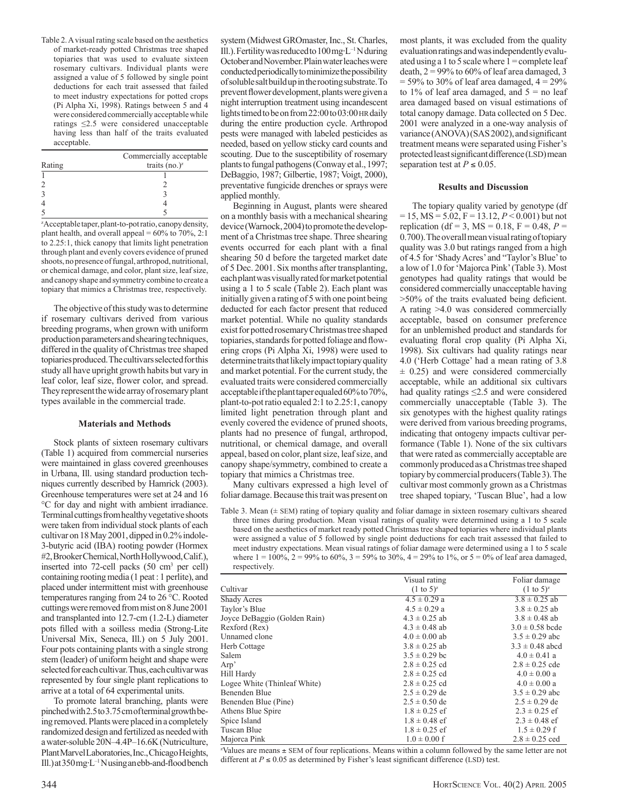Table 2. A visual rating scale based on the aesthetics of market-ready potted Christmas tree shaped topiaries that was used to evaluate sixteen rosemary cultivars. Individual plants were assigned a value of 5 followed by single point deductions for each trait assessed that failed to meet industry expectations for potted crops (Pi Alpha Xi, 1998). Ratings between 5 and 4 were considered commercially acceptable while ratings ≤2.5 were considered unacceptable having less than half of the traits evaluated acceptable.

|        | Commercially acceptable |
|--------|-------------------------|
| Rating | traits $(no.)^z$        |
|        |                         |
|        |                         |
|        |                         |
|        |                         |
|        |                         |

z Acceptable taper, plant-to-pot ratio, canopy density, plant health, and overall appeal =  $60\%$  to 70%, 2:1 to 2.25:1, thick canopy that limits light penetration through plant and evenly covers evidence of pruned shoots, no presence of fungal, arthropod, nutritional, or chemical damage, and color, plant size, leaf size, and canopy shape and symmetry combine to create a topiary that mimics a Christmas tree, respectively.

The objective of this study was to determine if rosemary cultivars derived from various breeding programs, when grown with uniform production parameters and shearing techniques, differed in the quality of Christmas tree shaped topiaries produced. The cultivars selected for this study all have upright growth habits but vary in leaf color, leaf size, flower color, and spread. They represent the wide array of rosemary plant types available in the commercial trade.

#### **Materials and Methods**

Stock plants of sixteen rosemary cultivars (Table 1) acquired from commercial nurseries were maintained in glass covered greenhouses in Urbana, Ill. using standard production techniques currently described by Hamrick (2003). Greenhouse temperatures were set at 24 and 16 °C for day and night with ambient irradiance. Terminal cuttings from healthy vegetative shoots were taken from individual stock plants of each cultivar on 18 May 2001, dipped in 0.2% indole-3-butyric acid (IBA) rooting powder (Hormex #2, Brooker Chemical, North Hollywood, Calif.), inserted into 72-cell packs (50 cm3 per cell) containing rooting media (1 peat : 1 perlite), and placed under intermittent mist with greenhouse temperatures ranging from 24 to 26 °C. Rooted cuttings were removed from mist on 8 June 2001 and transplanted into 12.7-cm (1.2-L) diameter pots filled with a soilless media (Strong-Lite Universal Mix, Seneca, Ill.) on 5 July 2001. Four pots containing plants with a single strong stem (leader) of uniform height and shape were selected for each cultivar. Thus, each cultivar was represented by four single plant replications to arrive at a total of 64 experimental units.

To promote lateral branching, plants were pinched with 2.5 to 3.75 cm of terminal growth being removed. Plants were placed in a completely randomized design and fertilized as needed with a water-soluble 20N–4.4P–16.6K (Nutriculture, Plant Marvel Laboratories, Inc., Chicago Heights, Ill.) at 350 mg⋅L–1N using an ebb-and-flood bench

system (Midwest GROmaster, Inc., St. Charles, Ill.). Fertility was reduced to 100 mg⋅L–1N during October and November. Plain water leaches were conducted periodically to minimize the possibility of soluble salt build up in the rooting substrate. To prevent flower development, plants were given a night interruption treatment using incandescent lights timed to be on from 22:00 to 03:00 HR daily during the entire production cycle. Arthropod pests were managed with labeled pesticides as needed, based on yellow sticky card counts and scouting. Due to the susceptibility of rosemary plants to fungal pathogens (Conway et al., 1997; DeBaggio, 1987; Gilbertie, 1987; Voigt, 2000), preventative fungicide drenches or sprays were applied monthly.

Beginning in August, plants were sheared on a monthly basis with a mechanical shearing device (Warnock, 2004) to promote the development of a Christmas tree shape. Three shearing events occurred for each plant with a final shearing 50 d before the targeted market date of 5 Dec. 2001. Six months after transplanting, each plant was visually rated for market potential using a 1 to 5 scale (Table 2). Each plant was initially given a rating of 5 with one point being deducted for each factor present that reduced market potential. While no quality standards exist for potted rosemary Christmas tree shaped topiaries, standards for potted foliage and flowering crops (Pi Alpha Xi, 1998) were used to determine traits that likely impact topiary quality and market potential. For the current study, the evaluated traits were considered commercially acceptable if the plant taper equaled 60% to 70%, plant-to-pot ratio equaled 2:1 to 2.25:1, canopy limited light penetration through plant and evenly covered the evidence of pruned shoots, plants had no presence of fungal, arthropod, nutritional, or chemical damage, and overall appeal, based on color, plant size, leaf size, and canopy shape/symmetry, combined to create a topiary that mimics a Christmas tree.

Many cultivars expressed a high level of foliar damage. Because this trait was present on

most plants, it was excluded from the quality evaluation ratings and was independently evaluated using a 1 to 5 scale where  $1 =$ complete leaf death,  $2 = 99\%$  to 60% of leaf area damaged, 3  $= 59\%$  to 30% of leaf area damaged,  $4 = 29\%$ to 1% of leaf area damaged, and  $5 =$  no leaf area damaged based on visual estimations of total canopy damage. Data collected on 5 Dec. 2001 were analyzed in a one-way analysis of variance (ANOVA) (SAS 2002), and significant treatment means were separated using Fisher's protected least significant difference (LSD) mean separation test at  $P \leq 0.05$ .

### **Results and Discussion**

The topiary quality varied by genotype (df  $= 15$ , MS  $= 5.02$ , F = 13.12, *P* < 0.001) but not replication (df = 3, MS =  $0.18$ , F =  $0.48$ , P = 0.700). The overall mean visual rating of topiary quality was 3.0 but ratings ranged from a high of 4.5 for 'Shady Acres' and "Taylor's Blue' to a low of 1.0 for 'Majorca Pink' (Table 3). Most genotypes had quality ratings that would be considered commercially unacceptable having >50% of the traits evaluated being deficient. A rating >4.0 was considered commercially acceptable, based on consumer preference for an unblemished product and standards for evaluating floral crop quality (Pi Alpha Xi, 1998). Six cultivars had quality ratings near 4.0 ('Herb Cottage' had a mean rating of 3.8  $\pm$  0.25) and were considered commercially acceptable, while an additional six cultivars had quality ratings ≤2.5 and were considered commercially unacceptable (Table 3). The six genotypes with the highest quality ratings were derived from various breeding programs, indicating that ontogeny impacts cultivar performance (Table 1). None of the six cultivars that were rated as commercially acceptable are commonly produced as a Christmas tree shaped topiary by commercial producers (Table 3). The cultivar most commonly grown as a Christmas tree shaped topiary, 'Tuscan Blue', had a low

Table 3. Mean (± SEM) rating of topiary quality and foliar damage in sixteen rosemary cultivars sheared three times during production. Mean visual ratings of quality were determined using a 1 to 5 scale based on the aesthetics of market ready potted Christmas tree shaped topiaries where individual plants were assigned a value of 5 followed by single point deductions for each trait assessed that failed to meet industry expectations. Mean visual ratings of foliar damage were determined using a 1 to 5 scale where  $1 = 100\%$ ,  $2 = 99\%$  to  $60\%$ ,  $3 = 59\%$  to  $30\%$ ,  $4 = 29\%$  to  $1\%$ , or  $5 = 0\%$  of leaf area damaged, respectively.

|                              | Visual rating           | Foliar damage           |
|------------------------------|-------------------------|-------------------------|
| Cultivar                     | $(1 \text{ to } 5)^{z}$ | $(1 \text{ to } 5)^{z}$ |
| <b>Shady Acres</b>           | $4.5 \pm 0.29$ a        | $3.8 \pm 0.25$ ab       |
| Taylor's Blue                | $4.5 \pm 0.29$ a        | $3.8 \pm 0.25$ ab       |
| Joyce DeBaggio (Golden Rain) | $4.3 \pm 0.25$ ab       | $3.8 \pm 0.48$ ab       |
| Rexford (Rex)                | $4.3 \pm 0.48$ ab       | $3.0 \pm 0.58$ bcde     |
| Unnamed clone                | $4.0 \pm 0.00$ ab       | $3.5 \pm 0.29$ abc      |
| Herb Cottage                 | $3.8 \pm 0.25$ ab       | $3.3 \pm 0.48$ abcd     |
| Salem                        | $3.5 \pm 0.29$ bc       | $4.0 \pm 0.41$ a        |
| Arp'                         | $2.8 \pm 0.25$ cd       | $2.8 \pm 0.25$ cde      |
| Hill Hardy                   | $2.8 \pm 0.25$ cd       | $4.0 \pm 0.00 a$        |
| Logee White (Thinleaf White) | $2.8 \pm 0.25$ cd       | $4.0 \pm 0.00 a$        |
| Benenden Blue                | $2.5 \pm 0.29$ de       | $3.5 \pm 0.29$ abc      |
| Benenden Blue (Pine)         | $2.5 \pm 0.50$ de       | $2.5 \pm 0.29$ de       |
| Athens Blue Spire            | $1.8 \pm 0.25$ ef       | $2.3 \pm 0.25$ ef       |
| Spice Island                 | $1.8 \pm 0.48$ ef       | $2.3 \pm 0.48$ ef       |
| Tuscan Blue                  | $1.8 \pm 0.25$ ef       | $1.5 \pm 0.29$ f        |
| Majorca Pink                 | $1.0 \pm 0.00$ f        | $2.8 \pm 0.25$ ced      |

z Values are means ± SEM of four replications. Means within a column followed by the same letter are not different at  $P \le 0.05$  as determined by Fisher's least significant difference (LSD) test.